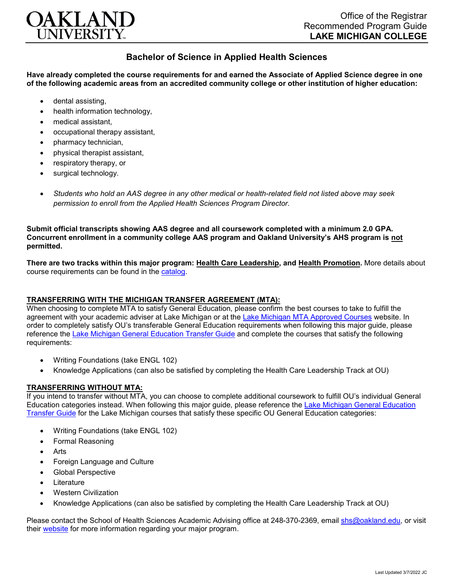

## **Bachelor of Science in Applied Health Sciences**

**Have already completed the course requirements for and earned the Associate of Applied Science degree in one of the following academic areas from an accredited community college or other institution of higher education:**

- dental assisting,
- health information technology.
- medical assistant,
- occupational therapy assistant,
- pharmacy technician,
- physical therapist assistant,
- respiratory therapy, or
- surgical technology.
- *Students who hold an AAS degree in any other medical or health-related field not listed above may seek permission to enroll from the Applied Health Sciences Program Director.*

**Submit official transcripts showing AAS degree and all coursework completed with a minimum 2.0 GPA. Concurrent enrollment in a community college AAS program and Oakland University's AHS program is not permitted.**

**There are two tracks within this major program: Health Care Leadership, and Health Promotion.** More details about course requirements can be found in the [catalog.](http://catalog.oakland.edu/preview_program.php?catoid=53&poid=8649)

## **TRANSFERRING WITH THE MICHIGAN TRANSFER AGREEMENT (MTA):**

When choosing to complete MTA to satisfy General Education, please confirm the best courses to take to fulfill the agreement with your academic adviser at Lake Michigan or at the [Lake Michigan MTA Approved Courses](https://www.lakemichigancollege.edu/academics/educational-goals/transfer/transfer-information) website. In order to completely satisfy OU's transferable General Education requirements when following this major guide, please reference the [Lake Michigan General Education Transfer Guide](https://www.oakland.edu/Assets/Oakland/program-guides/lake-michigan-college/university-general-education-requirements/Lake%20Michigan%20Gen%20Ed.pdf) and complete the courses that satisfy the following requirements:

- Writing Foundations (take ENGL 102)
- Knowledge Applications (can also be satisfied by completing the Health Care Leadership Track at OU)

## **TRANSFERRING WITHOUT MTA:**

If you intend to transfer without MTA, you can choose to complete additional coursework to fulfill OU's individual General Education categories instead. When following this major guide, please reference the [Lake Michigan General Education](https://www.oakland.edu/Assets/Oakland/program-guides/lake-michigan-college/university-general-education-requirements/Lake%20Michigan%20Gen%20Ed.pdf)  [Transfer Guide](https://www.oakland.edu/Assets/Oakland/program-guides/lake-michigan-college/university-general-education-requirements/Lake%20Michigan%20Gen%20Ed.pdf) for the Lake Michigan courses that satisfy these specific OU General Education categories:

- Writing Foundations (take ENGL 102)
- Formal Reasoning
- Arts
- Foreign Language and Culture
- Global Perspective
- **Literature**
- Western Civilization
- Knowledge Applications (can also be satisfied by completing the Health Care Leadership Track at OU)

Please contact the School of Health Sciences Academic Advising office at 248-370-2369, email [shs@oakland.edu,](mailto:shs@oakland.edu) or visit their [website](http://www.oakland.edu/shs/advising) for more information regarding your major program.